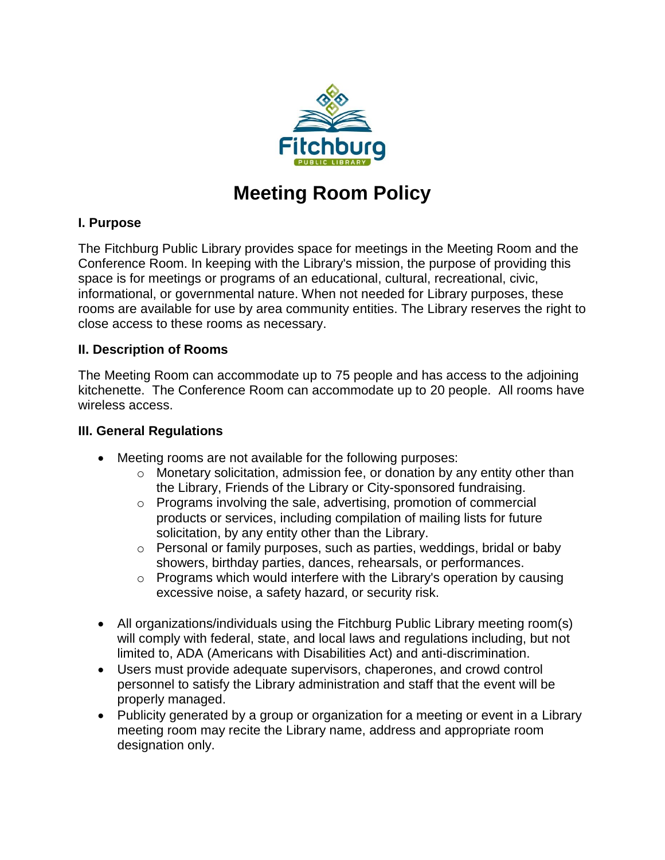

# **Meeting Room Policy**

## **I. Purpose**

The Fitchburg Public Library provides space for meetings in the Meeting Room and the Conference Room. In keeping with the Library's mission, the purpose of providing this space is for meetings or programs of an educational, cultural, recreational, civic, informational, or governmental nature. When not needed for Library purposes, these rooms are available for use by area community entities. The Library reserves the right to close access to these rooms as necessary.

#### **II. Description of Rooms**

The Meeting Room can accommodate up to 75 people and has access to the adjoining kitchenette. The Conference Room can accommodate up to 20 people. All rooms have wireless access.

#### **III. General Regulations**

- Meeting rooms are not available for the following purposes:
	- o Monetary solicitation, admission fee, or donation by any entity other than the Library, Friends of the Library or City-sponsored fundraising.
	- o Programs involving the sale, advertising, promotion of commercial products or services, including compilation of mailing lists for future solicitation, by any entity other than the Library.
	- o Personal or family purposes, such as parties, weddings, bridal or baby showers, birthday parties, dances, rehearsals, or performances.
	- $\circ$  Programs which would interfere with the Library's operation by causing excessive noise, a safety hazard, or security risk.
- All organizations/individuals using the Fitchburg Public Library meeting room(s) will comply with federal, state, and local laws and regulations including, but not limited to, ADA (Americans with Disabilities Act) and anti-discrimination.
- Users must provide adequate supervisors, chaperones, and crowd control personnel to satisfy the Library administration and staff that the event will be properly managed.
- Publicity generated by a group or organization for a meeting or event in a Library meeting room may recite the Library name, address and appropriate room designation only.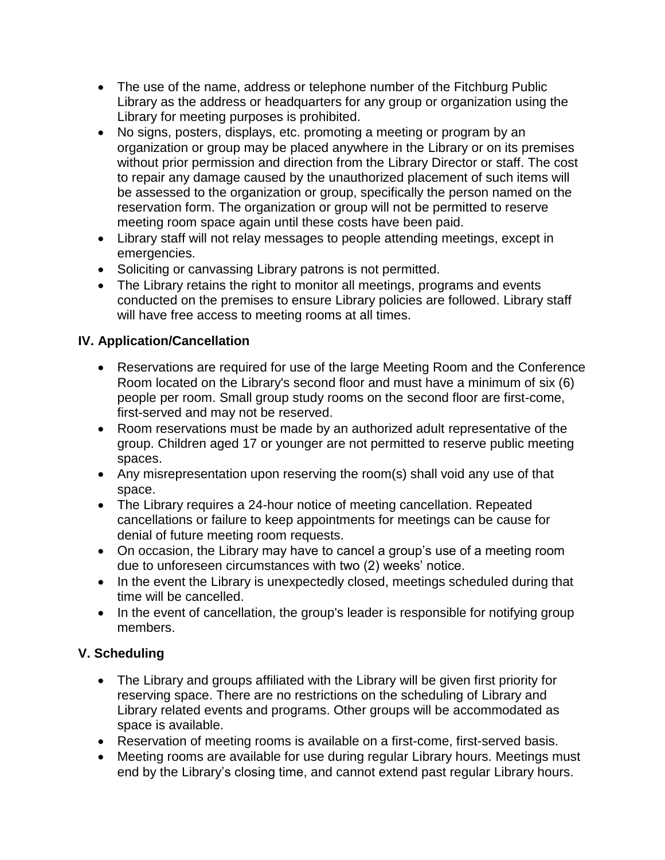- The use of the name, address or telephone number of the Fitchburg Public Library as the address or headquarters for any group or organization using the Library for meeting purposes is prohibited.
- No signs, posters, displays, etc. promoting a meeting or program by an organization or group may be placed anywhere in the Library or on its premises without prior permission and direction from the Library Director or staff. The cost to repair any damage caused by the unauthorized placement of such items will be assessed to the organization or group, specifically the person named on the reservation form. The organization or group will not be permitted to reserve meeting room space again until these costs have been paid.
- Library staff will not relay messages to people attending meetings, except in emergencies.
- Soliciting or canvassing Library patrons is not permitted.
- The Library retains the right to monitor all meetings, programs and events conducted on the premises to ensure Library policies are followed. Library staff will have free access to meeting rooms at all times.

## **IV. Application/Cancellation**

- Reservations are required for use of the large Meeting Room and the Conference Room located on the Library's second floor and must have a minimum of six (6) people per room. Small group study rooms on the second floor are first-come, first-served and may not be reserved.
- Room reservations must be made by an authorized adult representative of the group. Children aged 17 or younger are not permitted to reserve public meeting spaces.
- Any misrepresentation upon reserving the room(s) shall void any use of that space.
- The Library requires a 24-hour notice of meeting cancellation. Repeated cancellations or failure to keep appointments for meetings can be cause for denial of future meeting room requests.
- On occasion, the Library may have to cancel a group's use of a meeting room due to unforeseen circumstances with two (2) weeks' notice.
- In the event the Library is unexpectedly closed, meetings scheduled during that time will be cancelled.
- In the event of cancellation, the group's leader is responsible for notifying group members.

# **V. Scheduling**

- The Library and groups affiliated with the Library will be given first priority for reserving space. There are no restrictions on the scheduling of Library and Library related events and programs. Other groups will be accommodated as space is available.
- Reservation of meeting rooms is available on a first-come, first-served basis.
- Meeting rooms are available for use during regular Library hours. Meetings must end by the Library's closing time, and cannot extend past regular Library hours.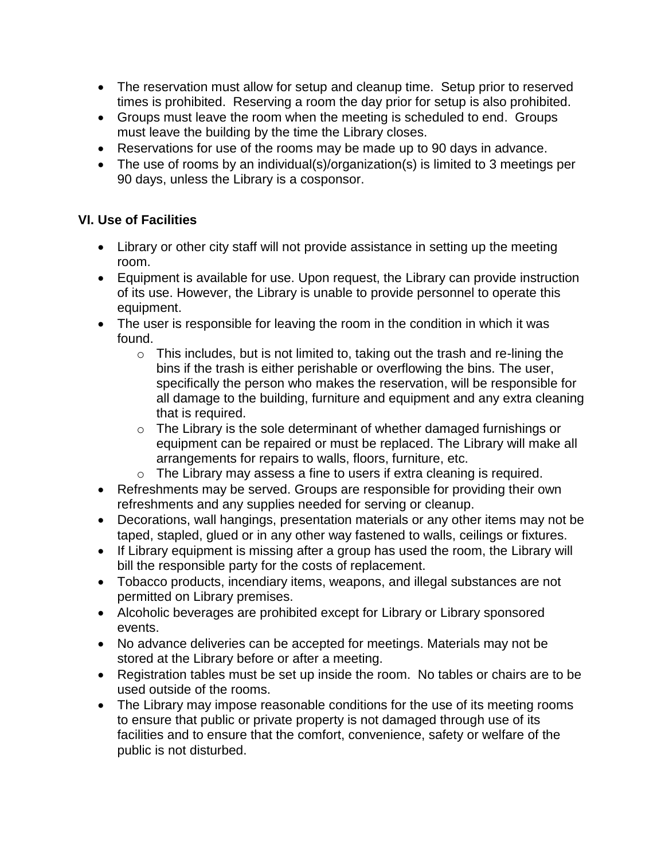- The reservation must allow for setup and cleanup time. Setup prior to reserved times is prohibited. Reserving a room the day prior for setup is also prohibited.
- Groups must leave the room when the meeting is scheduled to end. Groups must leave the building by the time the Library closes.
- Reservations for use of the rooms may be made up to 90 days in advance.
- The use of rooms by an individual(s)/organization(s) is limited to 3 meetings per 90 days, unless the Library is a cosponsor.

## **VI. Use of Facilities**

- Library or other city staff will not provide assistance in setting up the meeting room.
- Equipment is available for use. Upon request, the Library can provide instruction of its use. However, the Library is unable to provide personnel to operate this equipment.
- The user is responsible for leaving the room in the condition in which it was found.
	- $\circ$  This includes, but is not limited to, taking out the trash and re-lining the bins if the trash is either perishable or overflowing the bins. The user, specifically the person who makes the reservation, will be responsible for all damage to the building, furniture and equipment and any extra cleaning that is required.
	- o The Library is the sole determinant of whether damaged furnishings or equipment can be repaired or must be replaced. The Library will make all arrangements for repairs to walls, floors, furniture, etc.
	- o The Library may assess a fine to users if extra cleaning is required.
- Refreshments may be served. Groups are responsible for providing their own refreshments and any supplies needed for serving or cleanup.
- Decorations, wall hangings, presentation materials or any other items may not be taped, stapled, glued or in any other way fastened to walls, ceilings or fixtures.
- If Library equipment is missing after a group has used the room, the Library will bill the responsible party for the costs of replacement.
- Tobacco products, incendiary items, weapons, and illegal substances are not permitted on Library premises.
- Alcoholic beverages are prohibited except for Library or Library sponsored events.
- No advance deliveries can be accepted for meetings. Materials may not be stored at the Library before or after a meeting.
- Registration tables must be set up inside the room. No tables or chairs are to be used outside of the rooms.
- The Library may impose reasonable conditions for the use of its meeting rooms to ensure that public or private property is not damaged through use of its facilities and to ensure that the comfort, convenience, safety or welfare of the public is not disturbed.